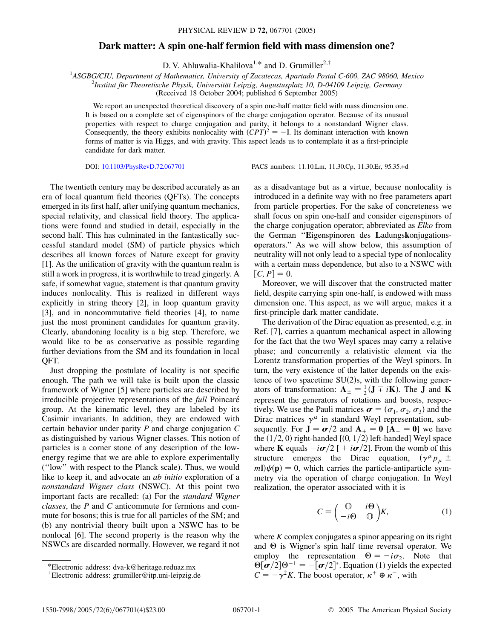## **Dark matter: A spin one-half fermion field with mass dimension one?**

D. V. Ahluwalia-Khalilova<sup>1,\*</sup> and D. Grumiller<sup>2,†</sup>

<sup>1</sup>*ASGBG/CIU, Department of Mathematics, University of Zacatecas, Apartado Postal C-600, ZAC 98060, Mexico* <sup>2</sup><br><sup>2</sup>*Institut für Theoratische Bhysik, Universität Leipzie, Augustusplatz 10, D,04100 Leipzie, Cermany* 

*Institut fu¨r Theoretische Physik, Universita¨t Leipzig, Augustusplatz 10, D-04109 Leipzig, Germany*

(Received 18 October 2004; published 6 September 2005)

We report an unexpected theoretical discovery of a spin one-half matter field with mass dimension one. It is based on a complete set of eigenspinors of the charge conjugation operator. Because of its unusual properties with respect to charge conjugation and parity, it belongs to a nonstandard Wigner class. Consequently, the theory exhibits nonlocality with  $(CPT)^2 = -\mathbb{I}$ . Its dominant interaction with known forms of matter is via Higgs, and with gravity. This aspect leads us to contemplate it as a first-principle candidate for dark matter.

DOI: [10.1103/PhysRevD.72.067701](http://dx.doi.org/10.1103/PhysRevD.72.067701) PACS numbers: 11.10.Lm, 11.30.Cp, 11.30.Er, 95.35.+d

The twentieth century may be described accurately as an era of local quantum field theories (QFTs). The concepts emerged in its first half, after unifying quantum mechanics, special relativity, and classical field theory. The applications were found and studied in detail, especially in the second half. This has culminated in the fantastically successful standard model (SM) of particle physics which describes all known forces of Nature except for gravity [1]. As the unification of gravity with the quantum realm is still a work in progress, it is worthwhile to tread gingerly. A safe, if somewhat vague, statement is that quantum gravity induces nonlocality. This is realized in different ways explicitly in string theory [2], in loop quantum gravity [3], and in noncommutative field theories [4], to name just the most prominent candidates for quantum gravity. Clearly, abandoning locality is a big step. Therefore, we would like to be as conservative as possible regarding further deviations from the SM and its foundation in local QFT.

Just dropping the postulate of locality is not specific enough. The path we will take is built upon the classic framework of Wigner [5] where particles are described by irreducible projective representations of the *full* Poincaré group. At the kinematic level, they are labeled by its Casimir invariants. In addition, they are endowed with certain behavior under parity *P* and charge conjugation *C* as distinguished by various Wigner classes. This notion of particles is a corner stone of any description of the lowenergy regime that we are able to explore experimentally (''low'' with respect to the Planck scale). Thus, we would like to keep it, and advocate an *ab initio* exploration of a *nonstandard Wigner class* (NSWC). At this point two important facts are recalled: (a) For the *standard Wigner classes*, the *P* and *C* anticommute for fermions and commute for bosons; this is true for all particles of the SM; and (b) any nontrivial theory built upon a NSWC has to be nonlocal [6]. The second property is the reason why the NSWCs are discarded normally. However, we regard it not as a disadvantage but as a virtue, because nonlocality is introduced in a definite way with no free parameters apart from particle properties. For the sake of concreteness we shall focus on spin one-half and consider eigenspinors of the charge conjugation operator; abbreviated as *Elko* from the German ''**E**igenspinoren des **L**adungs**k**onjugations**o**perators.'' As we will show below, this assumption of neutrality will not only lead to a special type of nonlocality with a certain mass dependence, but also to a NSWC with  $[C, P] = 0.$ 

Moreover, we will discover that the constructed matter field, despite carrying spin one-half, is endowed with mass dimension one. This aspect, as we will argue, makes it a first-principle dark matter candidate.

The derivation of the Dirac equation as presented, e.g. in Ref. [7], carries a quantum mechanical aspect in allowing for the fact that the two Weyl spaces may carry a relative phase; and concurrently a relativistic element via the Lorentz transformation properties of the Weyl spinors. In turn, the very existence of the latter depends on the existence of two spacetime  $SU(2)s$ , with the following generators of transformation:  $A_{\pm} = \frac{1}{2} (J \mp iK)$ . The **J** and **K** represent the generators of rotations and boosts, respectively. We use the Pauli matrices  $\boldsymbol{\sigma} = (\sigma_1, \sigma_2, \sigma_3)$  and the Dirac matrices  $\gamma^{\mu}$  in standard Weyl representation, subsequently. For  $J = \sigma/2$  and  $A_+ = 0$   $[A_- = 0]$  we have the (1/2, 0) right-handed [(0, 1/2) left-handed] Weyl space where **K** equals  $-i\sigma/2$  [  $+i\sigma/2$ ]. From the womb of this structure emerges the Dirac equation,  $(\gamma^{\mu} p_{\mu} \pm \gamma^{\mu})$  $m\mathbb{I}$ ) $\psi(\mathbf{p}) = 0$ , which carries the particle-antiparticle symmetry via the operation of charge conjugation. In Weyl realization, the operator associated with it is

$$
C = \begin{pmatrix} 0 & i\Theta \\ -i\Theta & 0 \end{pmatrix} K, \tag{1}
$$

where *K* complex conjugates a spinor appearing on its right and  $\Theta$  is Wigner's spin half time reversal operator. We employ the representation  $\Theta = -i\sigma_2$ . Note that  $\Theta[\boldsymbol{\sigma}/2] \Theta^{-1} = -[\boldsymbol{\sigma}/2]^*$ . Equation (1) yields the expected  $C = -\gamma^2 K$ . The boost operator,  $\kappa^+ \oplus \kappa^-$ , with

<sup>\*</sup>Electronic address: dva-k@heritage.reduaz.mx

<sup>†</sup> Electronic address: grumiller@itp.uni-leipzig.de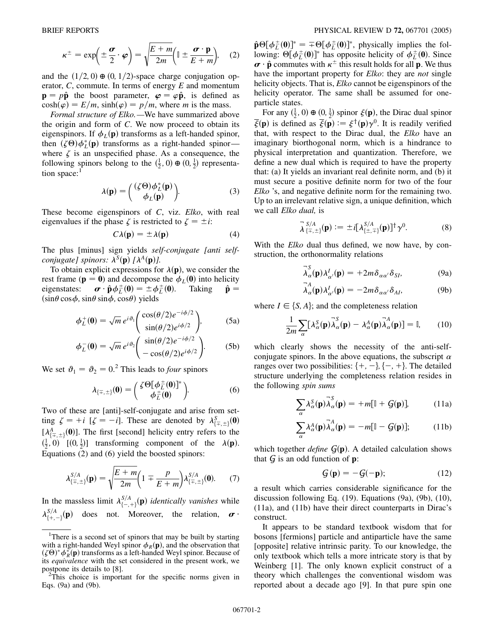$$
\kappa^{\pm} = \exp\left(\pm \frac{\boldsymbol{\sigma}}{2} \cdot \boldsymbol{\varphi}\right) = \sqrt{\frac{E + m}{2m}} \left(\mathbb{I} \pm \frac{\boldsymbol{\sigma} \cdot \mathbf{p}}{E + m}\right), \quad (2)
$$

and the  $(1/2, 0) \oplus (0, 1/2)$ -space charge conjugation operator, *C*, commute. In terms of energy *E* and momentum  $\mathbf{p} = p\hat{\mathbf{p}}$  the boost parameter,  $\varphi = \varphi \hat{\mathbf{p}}$ , is defined as  $cosh(\varphi) = E/m$ ,  $sinh(\varphi) = p/m$ , where *m* is the mass.

*Formal structure of Elko.—*We have summarized above the origin and form of *C*. We now proceed to obtain its eigenspinors. If  $\phi_L(\mathbf{p})$  transforms as a left-handed spinor, then  $(\zeta \Theta) \phi_L^*(\mathbf{p})$  transforms as a right-handed spinorwhere  $\zeta$  is an unspecified phase. As a consequence, the following spinors belong to the  $(\frac{1}{2}, 0) \oplus (0, \frac{1}{2})$  representation space:<sup>1</sup>

$$
\lambda(\mathbf{p}) = \begin{pmatrix} (\zeta \Theta) \phi_L^*(\mathbf{p}) \\ \phi_L(\mathbf{p}) \end{pmatrix} . \tag{3}
$$

These become eigenspinors of *C*, viz. *Elko*, with real eigenvalues if the phase  $\zeta$  is restricted to  $\zeta = \pm i$ :

$$
C\lambda(\mathbf{p}) = \pm \lambda(\mathbf{p}) \tag{4}
$$

The plus [minus] sign yields *self-conjugate [anti selfconjugate] spinors:*  $\lambda^{S}(\mathbf{p})$  [ $\lambda^{A}(\mathbf{p})$ ].

To obtain explicit expressions for  $\lambda(\mathbf{p})$ , we consider the rest frame ( $\mathbf{p} = \mathbf{0}$ ) and decompose the  $\phi_L(\mathbf{0})$  into helicity eigenstates:  $\boldsymbol{\sigma} \cdot \hat{\boldsymbol{p}} \phi_L^{\pm}(0) = \pm \phi_L^{\pm}(0)$ . Taking  $\hat{\boldsymbol{p}} =$  $(\sin\theta \cos\phi, \sin\theta \sin\phi, \cos\theta)$  yields

$$
\phi_L^+(0) = \sqrt{m} \, e^{i\vartheta_1} \left( \frac{\cos(\theta/2) e^{-i\phi/2}}{\sin(\theta/2) e^{i\phi/2}} \right), \tag{5a}
$$

$$
\phi_L^-(\mathbf{0}) = \sqrt{m} e^{i\vartheta_2} \left( \frac{\sin(\theta/2) e^{-i\phi/2}}{-\cos(\theta/2) e^{i\phi/2}} \right). \tag{5b}
$$

We set  $\vartheta_1 = \vartheta_2 = 0$ .<sup>2</sup> This leads to *four* spinors

$$
\lambda_{\{\mp,\pm\}}(\mathbf{0}) = \begin{pmatrix} \zeta \Theta[\phi_L^{\pm}(\mathbf{0})]^* \\ \phi_L^{\pm}(\mathbf{0}) \end{pmatrix} . \tag{6}
$$

Two of these are [anti]-self-conjugate and arise from setting  $\zeta = +i$  [ $\zeta = -i$ ]. These are denoted by  $\lambda_{\{\mp,\pm\}}^S(0)$  $[\lambda_{\{\overline{x},\pm\}}^A(0)]$ . The first [second] helicity entry refers to the  $\left(\frac{1}{2}, 0\right)$   $\left[\left(0, \frac{1}{2}\right)\right]$  transforming component of the  $\lambda(\mathbf{p})$ . Equations (2) and (6) yield the boosted spinors:

$$
\lambda_{\{\mp,\pm\}}^{S/A}(\mathbf{p}) = \sqrt{\frac{E+m}{2m}} \left(1 \mp \frac{p}{E+m}\right) \lambda_{\{\mp,\pm\}}^{S/A}(0). \tag{7}
$$

In the massless limit  $\lambda_{\{-, +\}}^{S/A}(\mathbf{p})$  *identically vanishes* while  $\lambda_{\{+, -\}}^{S/A}(\mathbf{p})$  does not. Moreover, the relation,  $\boldsymbol{\sigma}$ .

 $\hat{\mathbf{p}}\Theta[\phi_L^{\pm}(0)]^* = \pm \Theta[\phi_L^{\pm}(0)]^*$ , physically implies the following:  $\Theta[\phi_L^{\pm}(0)]^*$  has opposite helicity of  $\phi_L^{\pm}(0)$ . Since  $\boldsymbol{\sigma} \cdot \hat{\mathbf{p}}$  commutes with  $\kappa^{\pm}$  this result holds for all **p**. We thus have the important property for *Elko*: they are *not* single helicity objects. That is, *Elko* cannot be eigenspinors of the helicity operator. The same shall be assumed for oneparticle states.

For any  $(\frac{1}{2}, 0) \oplus (0, \frac{1}{2})$  spinor  $\xi(\mathbf{p})$ , the Dirac dual spinor  $\overline{\xi}(\mathbf{p})$  is defined as  $\overline{\xi}(\mathbf{p}) := \xi^{\dagger}(\mathbf{p})\gamma^{0}$ . It is readily verified that, with respect to the Dirac dual, the *Elko* have an imaginary biorthogonal norm, which is a hindrance to physical interpretation and quantization. Therefore, we define a new dual which is required to have the property that: (a) It yields an invariant real definite norm, and (b) it must secure a positive definite norm for two of the four *Elko* 's, and negative definite norm for the remaining two. Up to an irrelevant relative sign, a unique definition, which we call *Elko dual,* is

$$
\overline{\lambda}^{S/A}_{\{\mp,\pm\}}(\mathbf{p}) := \pm i[\lambda^{S/A}_{\{\pm,\mp\}}(\mathbf{p})]^\dagger \gamma^0. \tag{8}
$$

With the *Elko* dual thus defined, we now have, by construction, the orthonormality relations

$$
\overline{\lambda}_{\alpha}^{S}(\mathbf{p})\lambda_{\alpha'}^{I}(\mathbf{p}) = +2m\delta_{\alpha\alpha'}\delta_{SI},
$$
\n(9a)

$$
\lambda_{\alpha}^{\prime}(\mathbf{p})\lambda_{\alpha'}^{I}(\mathbf{p})=-2m\delta_{\alpha\alpha'}\delta_{AI},\qquad(9b)
$$

where  $I \in \{S, A\}$ ; and the completeness relation

$$
\frac{1}{2m} \sum_{\alpha} [\lambda_{\alpha}^{S}(\mathbf{p}) \overline{\lambda}_{\alpha}^{S}(\mathbf{p}) - \lambda_{\alpha}^{A}(\mathbf{p}) \overline{\lambda}_{\alpha}^{A}(\mathbf{p})] = \mathbb{I}, \qquad (10)
$$

which clearly shows the necessity of the anti-selfconjugate spinors. In the above equations, the subscript  $\alpha$ ranges over two possibilities:  $\{+, -\}, \{-, +\}.$  The detailed structure underlying the completeness relation resides in the following *spin sums*

$$
\sum_{\alpha} \lambda_{\alpha}^{S}(\mathbf{p}) \overline{\lambda}_{\alpha}^{S}(\mathbf{p}) = +m[\mathbb{I} + \mathcal{G}(\mathbf{p})], \quad (11a)
$$

$$
\sum_{\alpha} \lambda_{\alpha}^{A}(\mathbf{p}) \overline{\lambda}_{\alpha}^{A}(\mathbf{p}) = -m[\mathbb{I} - \mathcal{G}(\mathbf{p})]; \quad (11b)
$$

which together *define*  $G(\mathbf{p})$ . A detailed calculation shows that  $\mathcal G$  is an odd function of  $\mathbf p$ :

$$
\mathcal{G}(\mathbf{p}) = -\mathcal{G}(-\mathbf{p});\tag{12}
$$

a result which carries considerable significance for the discussion following Eq. (19). Equations (9a), (9b), (10), (11a), and (11b) have their direct counterparts in Dirac's construct.

It appears to be standard textbook wisdom that for bosons [fermions] particle and antiparticle have the same [opposite] relative intrinsic parity. To our knowledge, the only textbook which tells a more intricate story is that by Weinberg [1]. The only known explicit construct of a theory which challenges the conventional wisdom was reported about a decade ago [9]. In that pure spin one

<sup>&</sup>lt;sup>1</sup>There is a second set of spinors that may be built by starting with a right-handed Weyl spinor  $\phi_R(\mathbf{p})$ , and the observation that  $(\zeta \Theta)^* \phi_R^*(\mathbf{p})$  transforms as a left-handed Weyl spinor. Because of its *equivalence* with the set considered in the present work, we postpone its details to [8].

 $2\bar{T}$ his choice is important for the specific norms given in Eqs. (9a) and (9b).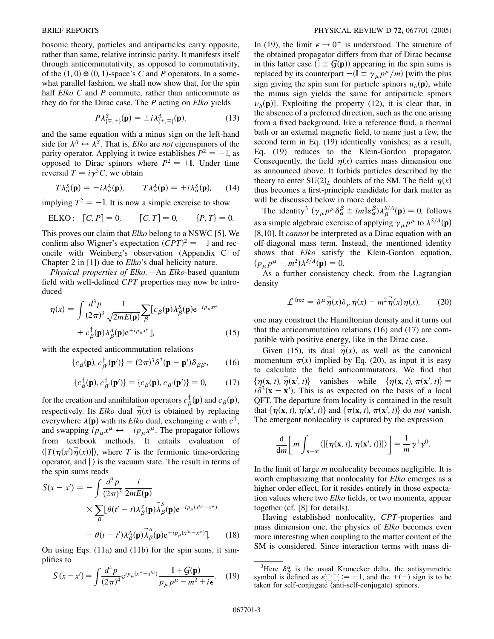bosonic theory, particles and antiparticles carry opposite, rather than same, relative intrinsic parity. It manifests itself through anticommutativity, as opposed to commutativity, of the  $(1, 0) \oplus (0, 1)$ -space's *C* and *P* operators. In a somewhat parallel fashion, we shall now show that, for the spin half *Elko C* and *P* commute, rather than anticommute as they do for the Dirac case. The *P* acting on *Elko* yields

$$
P\lambda_{\{\pm,\pm\}}^{S}(\mathbf{p}) = \pm i\lambda_{\{\pm,\mp\}}^{A}(\mathbf{p}),\tag{13}
$$

and the same equation with a minus sign on the left-hand side for  $\lambda^A \leftrightarrow \lambda^S$ . That is, *Elko* are *not* eigenspinors of the parity operator. Applying it twice establishes  $P^2 = -\mathbb{I}$ , as opposed to Dirac spinors where  $P^2 = +\mathbb{I}$ . Under time reversal  $T = i\gamma^5 C$ , we obtain

$$
T\lambda_{\alpha}^{S}(\mathbf{p}) = -i\lambda_{\alpha}^{A}(\mathbf{p}), \qquad T\lambda_{\alpha}^{A}(\mathbf{p}) = +i\lambda_{\alpha}^{S}(\mathbf{p}), \qquad (14)
$$

implying  $T^2 = -\mathbb{I}$ . It is now a simple exercise to show

$$
ELKO: [C, P] = 0, [C, T] = 0, \t{P, T} = 0.
$$

This proves our claim that *Elko* belong to a NSWC [5]. We confirm also Wigner's expectation  $(CPT)^2 = -\mathbb{I}$  and reconcile with Weinberg's observation (Appendix C of Chapter 2 in [1]) due to *Elko*'s dual helicity nature.

*Physical properties of Elko.—*An *Elko*-based quantum field with well-defined *CPT* properties may now be introduced

$$
\eta(x) = \int \frac{d^3 p}{(2\pi)^3} \frac{1}{\sqrt{2mE(\mathbf{p})}} \sum_{\beta} [c_{\beta}(\mathbf{p}) \lambda_{\beta}^S(\mathbf{p}) e^{-ip_{\mu}x^{\mu}} + c_{\beta}^{\dagger}(\mathbf{p}) \lambda_{\beta}^A(\mathbf{p}) e^{+ip_{\mu}x^{\mu}}],
$$
\n(15)

with the expected anticommutation relations

f*c***p**-

$$
c_{\beta}(\mathbf{p}), c_{\beta'}^{\dagger}(\mathbf{p'})\} = (2\pi)^3 \delta^3(\mathbf{p} - \mathbf{p'})\delta_{\beta\beta'},
$$
 (16)

$$
\{c_{\beta}^{\dagger}(\mathbf{p}), c_{\beta'}^{\dagger}(\mathbf{p}')\} = \{c_{\beta}(\mathbf{p}), c_{\beta'}(\mathbf{p}')\} = 0, \quad (17)
$$

for the creation and annihilation operators  $c_{\beta}^{\dagger}(\mathbf{p})$  and  $c_{\beta}(\mathbf{p})$ , respectively. Its *Elko* dual  $\overrightarrow{\eta}(x)$  is obtained by replacing everywhere  $\lambda(\mathbf{p})$  with its *Elko* dual, exchanging *c* with  $c^{\dagger}$ , and swapping  $ip_{\mu}x^{\mu} \leftrightarrow -ip_{\mu}x^{\mu}$ . The propagator follows from textbook methods. It entails evaluation of  $\langle |T(\eta(x')\overline{\eta}(x))| \rangle$ , where *T* is the fermionic time-ordering operator, and  $\vert$  is the vacuum state. The result in terms of the spin sums reads

$$
S(x - x') = -\int \frac{d^3 p}{(2\pi)^3} \frac{i}{2mE(\mathbf{p})}
$$
  
 
$$
\times \sum_{\beta} [\theta(t' - t)\lambda_{\beta}^S(\mathbf{p})\overline{\lambda}_{\beta}^S(\mathbf{p})e^{-ip_{\mu}(x'^{\mu} - x^{\mu})}
$$
  
 
$$
- \theta(t - t')\lambda_{\beta}^A(\mathbf{p})\overline{\lambda}_{\beta}^A(\mathbf{p})e^{+ip_{\mu}(x'^{\mu} - x^{\mu})}].
$$
 (18)

On using Eqs. (11a) and (11b) for the spin sums, it simplifies to

$$
S(x - x') = \int \frac{d^4 p}{(2\pi)^4} e^{ip_\mu(x^\mu - x'^\mu)} \frac{\mathbb{I} + \mathcal{G}(\mathbf{p})}{p_\mu p^\mu - m^2 + i\epsilon}.
$$
 (19)

In (19), the limit  $\epsilon \rightarrow 0^+$  is understood. The structure of the obtained propagator differs from that of Dirac because in this latter case  $(\mathbb{I} \pm \mathcal{G}(\mathbf{p}))$  appearing in the spin sums is replaced by its counterpart  $-(\mathbb{I} \pm \gamma_\mu p^\mu/m)$  [with the plus sign giving the spin sum for particle spinors  $u_h(\mathbf{p})$ , while the minus sign yields the same for antiparticle spinors  $v_h(\mathbf{p})$ ]. Exploiting the property (12), it is clear that, in the absence of a preferred direction, such as the one arising from a fixed background, like a reference fluid, a thermal bath or an external magnetic field, to name just a few, the second term in Eq. (19) identically vanishes; as a result, Eq. (19) reduces to the Klein-Gordon propagator. Consequently, the field  $\eta(x)$  carries mass dimension one as announced above. It forbids particles described by the theory to enter  $SU(2)_L$  doublets of the SM. The field  $\eta(x)$ thus becomes a first-principle candidate for dark matter as will be discussed below in more detail.

The identity<sup>3</sup>  $(\gamma_{\mu} p^{\mu} \delta_{\alpha}^{\beta} \pm im\mathbb{I} \epsilon_{\alpha}^{\beta}) \lambda_{\beta}^{S/A}(\mathbf{p}) = 0$ , follows as a simple algebraic exercise of applying  $\gamma_\mu p^\mu$  to  $\lambda^{S/A}(\mathbf{p})$ [8,10]. It *cannot* be interpreted as a Dirac equation with an off-diagonal mass term. Instead, the mentioned identity shows that *Elko* satisfy the Klein-Gordon equation,  $(p_{\mu}p^{\mu} - m^2)\lambda^{S/A}(\mathbf{p}) = 0.$ 

As a further consistency check, from the Lagrangian density

$$
\mathcal{L}^{\text{free}} = \partial^{\mu} \overrightarrow{\eta}(x) \partial_{\mu} \eta(x) - m^2 \overrightarrow{\eta}(x) \eta(x), \qquad (20)
$$

one may construct the Hamiltonian density and it turns out that the anticommutation relations (16) and (17) are compatible with positive energy, like in the Dirac case.

Given (15), its dual  $\overline{\eta}(x)$ , as well as the canonical momentum  $\pi(x)$  implied by Eq. (20), as input it is easy to calculate the field anticommutators. We find that  $\{\eta(\mathbf{x}, t), \overline{\eta}(\mathbf{x}', t)\}$  vanishes while  $\{\eta(\mathbf{x}, t), \pi(\mathbf{x}', t)\} =$  $i\delta^3$ (**x** – **x**<sup>*l*</sup>). This is as expected on the basis of a local QFT. The departure from locality is contained in the result that  $\{\eta(\mathbf{x}, t), \eta(\mathbf{x}', t)\}\$  and  $\{\pi(\mathbf{x}, t), \pi(\mathbf{x}', t)\}\$  do *not* vanish. The emergent nonlocality is captured by the expression

$$
\frac{\mathrm{d}}{\mathrm{d}m}\bigg[m\int_{\mathbf{x}-\mathbf{x}'}\langle\vert\{\eta(\mathbf{x},t),\,\eta(\mathbf{x}',t)\}\vert\rangle\bigg]=\frac{1}{m}\gamma^{\mathrm{T}}\gamma^{\mathrm{0}}.
$$

In the limit of large *m* nonlocality becomes negligible. It is worth emphasizing that nonlocality for *Elko* emerges as a higher order effect, for it resides entirely in those expectation values where two *Elko* fields, or two momenta, appear together (cf. [8] for details).

Having established nonlocality, *CPT*-properties and mass dimension one, the physics of *Elko* becomes even more interesting when coupling to the matter content of the SM is considered. Since interaction terms with mass di-

<sup>&</sup>lt;sup>3</sup>Here  $\delta^{\alpha}_{\beta}$  is the usual Kronecker delta, the antisymmetric symbol is defined as  $\varepsilon^{\{-, +\}}_{\{+, -\}} := -1$ , and the  $+(-)$  sign is to be taken for self-conjugate (anti-self-conjugate) spinors.